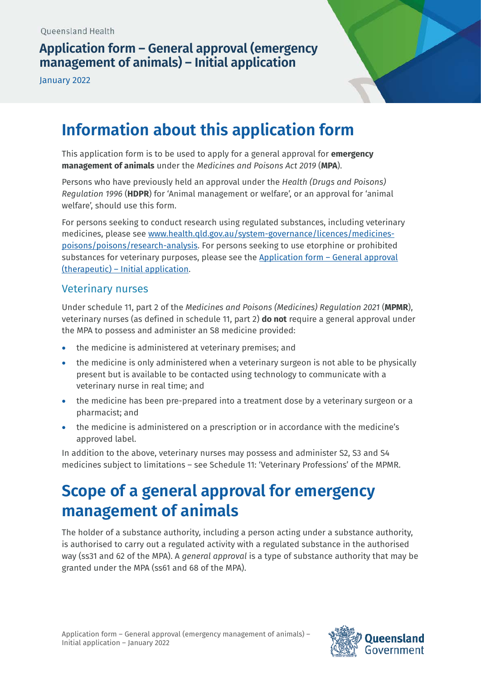# **Application form – General approval (emergency management of animals) – Initial application**

January 2022



# **Information about this application form**

This application form is to be used to apply for a general approval for **emergency management of animals** under the *Medicines and Poisons Act 2019* (**MPA**).

Persons who have previously held an approval under the *Health (Drugs and Poisons) Regulation 1996* (**HDPR**) for 'Animal management or welfare', or an approval for 'animal welfare', should use this form.

For persons seeking to conduct research using regulated substances, including veterinary medicines, please see [www.health.qld.gov.au/system-governance/licences/medicines](http://www.health.qld.gov.au/system-governance/licences/medicines-poisons/poisons/research-analysis)[poisons/poisons/research-analysis.](http://www.health.qld.gov.au/system-governance/licences/medicines-poisons/poisons/research-analysis) For persons seeking to use etorphine or prohibited substances for veterinary purposes, please see the [Application form – General approval](https://www.health.qld.gov.au/__data/assets/pdf_file/0022/1122367/form-general-therapeutic-initial.pdf)  [\(therapeutic\) – Initial application.](https://www.health.qld.gov.au/__data/assets/pdf_file/0022/1122367/form-general-therapeutic-initial.pdf)

### Veterinary nurses

Under schedule 11, part 2 of the *Medicines and Poisons (Medicines) Regulation 2021* (**MPMR**), veterinary nurses (as defined in schedule 11, part 2) **do not** require a general approval under the MPA to possess and administer an S8 medicine provided:

- the medicine is administered at veterinary premises; and
- the medicine is only administered when a veterinary surgeon is not able to be physically present but is available to be contacted using technology to communicate with a veterinary nurse in real time; and
- the medicine has been pre-prepared into a treatment dose by a veterinary surgeon or a pharmacist; and
- the medicine is administered on a prescription or in accordance with the medicine's approved label.

In addition to the above, veterinary nurses may possess and administer S2, S3 and S4 medicines subject to limitations – see Schedule 11: 'Veterinary Professions' of the MPMR.

# **Scope of a general approval for emergency management of animals**

The holder of a substance authority, including a person acting under a substance authority, is authorised to carry out a regulated activity with a regulated substance in the authorised way (ss31 and 62 of the MPA). A *general approval* is a type of substance authority that may be granted under the MPA (ss61 and 68 of the MPA).

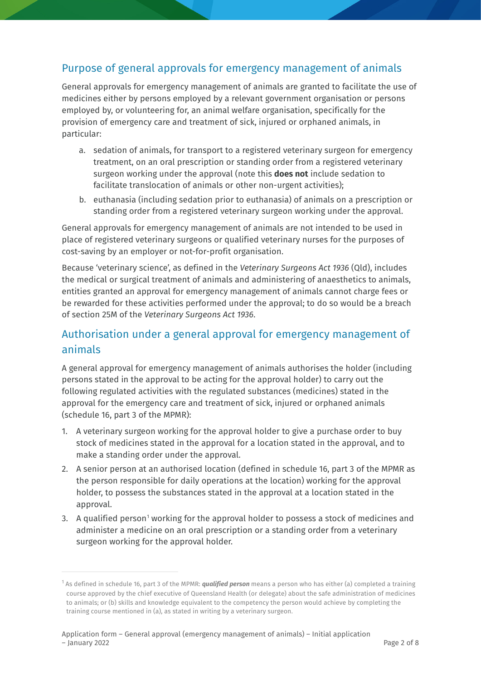## Purpose of general approvals for emergency management of animals

General approvals for emergency management of animals are granted to facilitate the use of medicines either by persons employed by a relevant government organisation or persons employed by, or volunteering for, an animal welfare organisation, specifically for the provision of emergency care and treatment of sick, injured or orphaned animals, in particular:

- a. sedation of animals, for transport to a registered veterinary surgeon for emergency treatment, on an oral prescription or standing order from a registered veterinary surgeon working under the approval (note this **does not** include sedation to facilitate translocation of animals or other non-urgent activities);
- b. euthanasia (including sedation prior to euthanasia) of animals on a prescription or standing order from a registered veterinary surgeon working under the approval.

General approvals for emergency management of animals are not intended to be used in place of registered veterinary surgeons or qualified veterinary nurses for the purposes of cost-saving by an employer or not-for-profit organisation.

Because 'veterinary science', as defined in the *Veterinary Surgeons Act 1936* (Qld), includes the medical or surgical treatment of animals and administering of anaesthetics to animals, entities granted an approval for emergency management of animals cannot charge fees or be rewarded for these activities performed under the approval; to do so would be a breach of section 25M of the *Veterinary Surgeons Act 1936*.

# Authorisation under a general approval for emergency management of animals

A general approval for emergency management of animals authorises the holder (including persons stated in the approval to be acting for the approval holder) to carry out the following regulated activities with the regulated substances (medicines) stated in the approval for the emergency care and treatment of sick, injured or orphaned animals (schedule 16, part 3 of the MPMR):

- 1. A veterinary surgeon working for the approval holder to give a purchase order to buy stock of medicines stated in the approval for a location stated in the approval, and to make a standing order under the approval.
- 2. A senior person at an authorised location (defined in schedule 16, part 3 of the MPMR as the person responsible for daily operations at the location) working for the approval holder, to possess the substances stated in the approval at a location stated in the approval.
- 3. A qualified person<sup>[1](#page-1-0)</sup> working for the approval holder to possess a stock of medicines and administer a medicine on an oral prescription or a standing order from a veterinary surgeon working for the approval holder.

<span id="page-1-0"></span><sup>1</sup> As defined in schedule 16, part 3 of the MPMR: *qualified person* means a person who has either (a) completed a training course approved by the chief executive of Queensland Health (or delegate) about the safe administration of medicines to animals; or (b) skills and knowledge equivalent to the competency the person would achieve by completing the training course mentioned in (a), as stated in writing by a veterinary surgeon.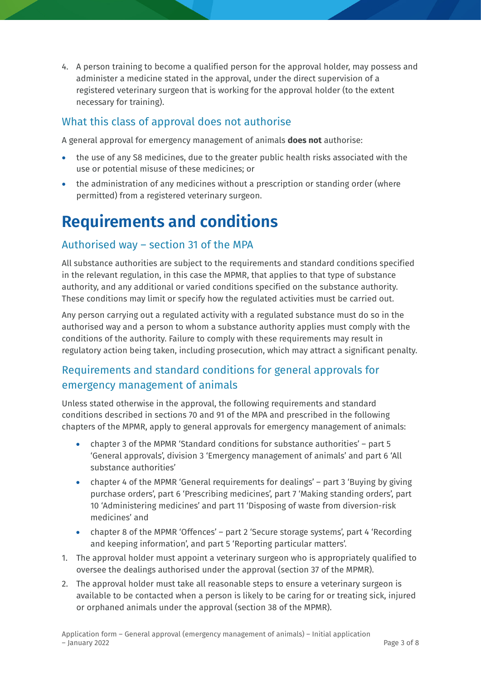4. A person training to become a qualified person for the approval holder, may possess and administer a medicine stated in the approval, under the direct supervision of a registered veterinary surgeon that is working for the approval holder (to the extent necessary for training).

# What this class of approval does not authorise

A general approval for emergency management of animals **does not** authorise:

- the use of any S8 medicines, due to the greater public health risks associated with the use or potential misuse of these medicines; or
- the administration of any medicines without a prescription or standing order (where permitted) from a registered veterinary surgeon.

# **Requirements and conditions**

## Authorised way – section 31 of the MPA

All substance authorities are subject to the requirements and standard conditions specified in the relevant regulation, in this case the MPMR, that applies to that type of substance authority, and any additional or varied conditions specified on the substance authority. These conditions may limit or specify how the regulated activities must be carried out.

Any person carrying out a regulated activity with a regulated substance must do so in the authorised way and a person to whom a substance authority applies must comply with the conditions of the authority. Failure to comply with these requirements may result in regulatory action being taken, including prosecution, which may attract a significant penalty.

# Requirements and standard conditions for general approvals for emergency management of animals

Unless stated otherwise in the approval, the following requirements and standard conditions described in sections 70 and 91 of the MPA and prescribed in the following chapters of the MPMR, apply to general approvals for emergency management of animals:

- chapter 3 of the MPMR 'Standard conditions for substance authorities' part 5 'General approvals', division 3 'Emergency management of animals' and part 6 'All substance authorities'
- chapter 4 of the MPMR 'General requirements for dealings' part 3 'Buying by giving purchase orders', part 6 'Prescribing medicines', part 7 'Making standing orders', part 10 'Administering medicines' and part 11 'Disposing of waste from diversion-risk medicines' and
- chapter 8 of the MPMR 'Offences' part 2 'Secure storage systems', part 4 'Recording and keeping information', and part 5 'Reporting particular matters'.
- 1. The approval holder must appoint a veterinary surgeon who is appropriately qualified to oversee the dealings authorised under the approval (section 37 of the MPMR).
- 2. The approval holder must take all reasonable steps to ensure a veterinary surgeon is available to be contacted when a person is likely to be caring for or treating sick, injured or orphaned animals under the approval (section 38 of the MPMR).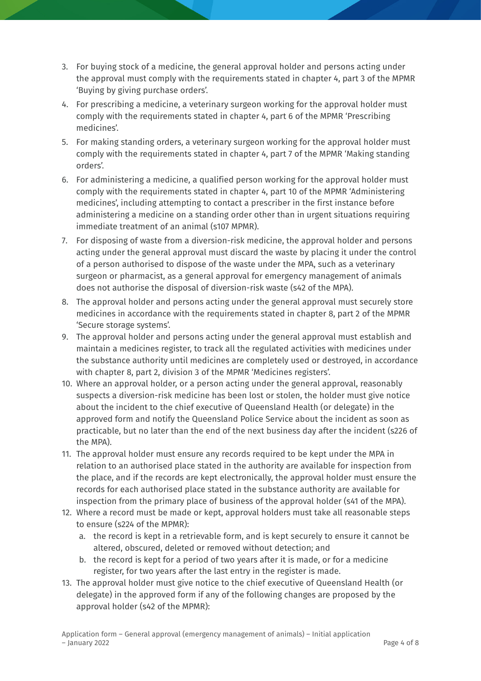- 3. For buying stock of a medicine, the general approval holder and persons acting under the approval must comply with the requirements stated in chapter 4, part 3 of the MPMR 'Buying by giving purchase orders'.
- 4. For prescribing a medicine, a veterinary surgeon working for the approval holder must comply with the requirements stated in chapter 4, part 6 of the MPMR 'Prescribing medicines'.
- 5. For making standing orders, a veterinary surgeon working for the approval holder must comply with the requirements stated in chapter 4, part 7 of the MPMR 'Making standing orders'.
- 6. For administering a medicine, a qualified person working for the approval holder must comply with the requirements stated in chapter 4, part 10 of the MPMR 'Administering medicines', including attempting to contact a prescriber in the first instance before administering a medicine on a standing order other than in urgent situations requiring immediate treatment of an animal (s107 MPMR).
- 7. For disposing of waste from a diversion-risk medicine, the approval holder and persons acting under the general approval must discard the waste by placing it under the control of a person authorised to dispose of the waste under the MPA, such as a veterinary surgeon or pharmacist, as a general approval for emergency management of animals does not authorise the disposal of diversion-risk waste (s42 of the MPA).
- 8. The approval holder and persons acting under the general approval must securely store medicines in accordance with the requirements stated in chapter 8, part 2 of the MPMR 'Secure storage systems'.
- 9. The approval holder and persons acting under the general approval must establish and maintain a medicines register, to track all the regulated activities with medicines under the substance authority until medicines are completely used or destroyed, in accordance with chapter 8, part 2, division 3 of the MPMR 'Medicines registers'.
- 10. Where an approval holder, or a person acting under the general approval, reasonably suspects a diversion-risk medicine has been lost or stolen, the holder must give notice about the incident to the chief executive of Queensland Health (or delegate) in the approved form and notify the Queensland Police Service about the incident as soon as practicable, but no later than the end of the next business day after the incident (s226 of the MPA).
- 11. The approval holder must ensure any records required to be kept under the MPA in relation to an authorised place stated in the authority are available for inspection from the place, and if the records are kept electronically, the approval holder must ensure the records for each authorised place stated in the substance authority are available for inspection from the primary place of business of the approval holder (s41 of the MPA).
- 12. Where a record must be made or kept, approval holders must take all reasonable steps to ensure (s224 of the MPMR):
	- a. the record is kept in a retrievable form, and is kept securely to ensure it cannot be altered, obscured, deleted or removed without detection; and
	- b. the record is kept for a period of two years after it is made, or for a medicine register, for two years after the last entry in the register is made.
- 13. The approval holder must give notice to the chief executive of Queensland Health (or delegate) in the approved form if any of the following changes are proposed by the approval holder (s42 of the MPMR):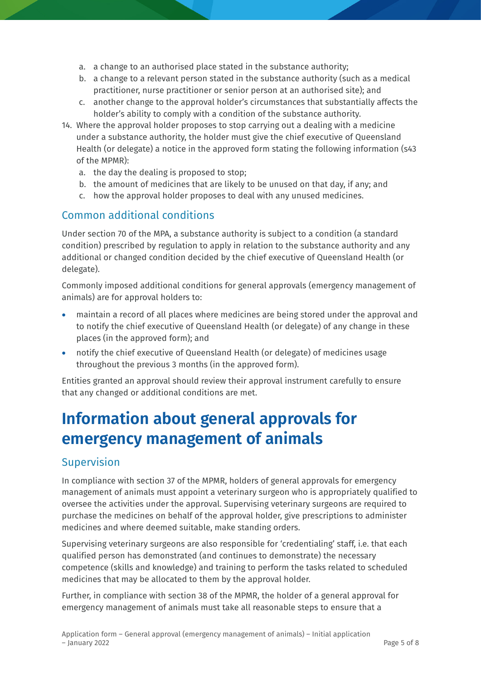- a. a change to an authorised place stated in the substance authority;
- b. a change to a relevant person stated in the substance authority (such as a medical practitioner, nurse practitioner or senior person at an authorised site); and
- c. another change to the approval holder's circumstances that substantially affects the holder's ability to comply with a condition of the substance authority.
- 14. Where the approval holder proposes to stop carrying out a dealing with a medicine under a substance authority, the holder must give the chief executive of Queensland Health (or delegate) a notice in the approved form stating the following information (s43 of the MPMR):
	- a. the day the dealing is proposed to stop;
	- b. the amount of medicines that are likely to be unused on that day, if any; and
	- c. how the approval holder proposes to deal with any unused medicines.

## Common additional conditions

Under section 70 of the MPA, a substance authority is subject to a condition (a standard condition) prescribed by regulation to apply in relation to the substance authority and any additional or changed condition decided by the chief executive of Queensland Health (or delegate).

Commonly imposed additional conditions for general approvals (emergency management of animals) are for approval holders to:

- maintain a record of all places where medicines are being stored under the approval and to notify the chief executive of Queensland Health (or delegate) of any change in these places (in the approved form); and
- notify the chief executive of Queensland Health (or delegate) of medicines usage throughout the previous 3 months (in the approved form).

Entities granted an approval should review their approval instrument carefully to ensure that any changed or additional conditions are met.

# **Information about general approvals for emergency management of animals**

## Supervision

In compliance with section 37 of the MPMR, holders of general approvals for emergency management of animals must appoint a veterinary surgeon who is appropriately qualified to oversee the activities under the approval. Supervising veterinary surgeons are required to purchase the medicines on behalf of the approval holder, give prescriptions to administer medicines and where deemed suitable, make standing orders.

Supervising veterinary surgeons are also responsible for 'credentialing' staff, i.e. that each qualified person has demonstrated (and continues to demonstrate) the necessary competence (skills and knowledge) and training to perform the tasks related to scheduled medicines that may be allocated to them by the approval holder.

Further, in compliance with section 38 of the MPMR, the holder of a general approval for emergency management of animals must take all reasonable steps to ensure that a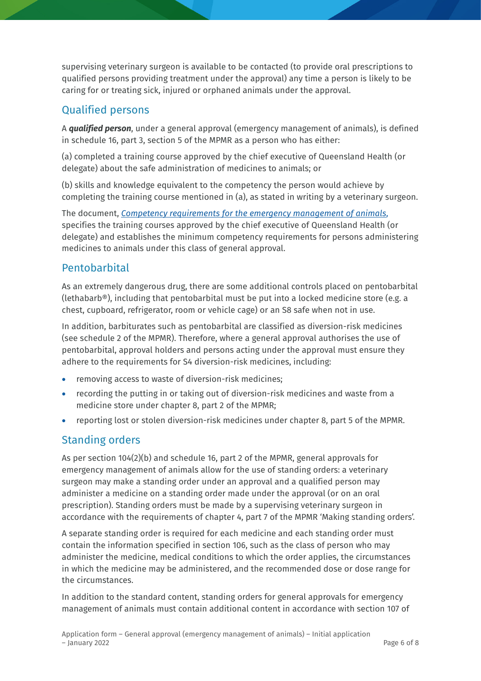supervising veterinary surgeon is available to be contacted (to provide oral prescriptions to qualified persons providing treatment under the approval) any time a person is likely to be caring for or treating sick, injured or orphaned animals under the approval.

## Qualified persons

A *qualified person*, under a general approval (emergency management of animals), is defined in schedule 16, part 3, section 5 of the MPMR as a person who has either:

(a) completed a training course approved by the chief executive of Queensland Health (or delegate) about the safe administration of medicines to animals; or

(b) skills and knowledge equivalent to the competency the person would achieve by completing the training course mentioned in (a), as stated in writing by a veterinary surgeon.

The document, *[Competency requirements for the emergency management of animals](https://www.health.qld.gov.au/__data/assets/pdf_file/0014/1111082/competency-req-emergency-mgt-animals.pdf)*, specifies the training courses approved by the chief executive of Queensland Health (or delegate) and establishes the minimum competency requirements for persons administering medicines to animals under this class of general approval.

## Pentobarbital

As an extremely dangerous drug, there are some additional controls placed on pentobarbital (lethabarb®), including that pentobarbital must be put into a locked medicine store (e.g. a chest, cupboard, refrigerator, room or vehicle cage) or an S8 safe when not in use.

In addition, barbiturates such as pentobarbital are classified as diversion-risk medicines (see schedule 2 of the MPMR). Therefore, where a general approval authorises the use of pentobarbital, approval holders and persons acting under the approval must ensure they adhere to the requirements for S4 diversion-risk medicines, including:

- removing access to waste of diversion-risk medicines;
- recording the putting in or taking out of diversion-risk medicines and waste from a medicine store under chapter 8, part 2 of the MPMR;
- reporting lost or stolen diversion-risk medicines under chapter 8, part 5 of the MPMR.

# Standing orders

As per section 104(2)(b) and schedule 16, part 2 of the MPMR, general approvals for emergency management of animals allow for the use of standing orders: a veterinary surgeon may make a standing order under an approval and a qualified person may administer a medicine on a standing order made under the approval (or on an oral prescription). Standing orders must be made by a supervising veterinary surgeon in accordance with the requirements of chapter 4, part 7 of the MPMR 'Making standing orders'.

A separate standing order is required for each medicine and each standing order must contain the information specified in section 106, such as the class of person who may administer the medicine, medical conditions to which the order applies, the circumstances in which the medicine may be administered, and the recommended dose or dose range for the circumstances.

In addition to the standard content, standing orders for general approvals for emergency management of animals must contain additional content in accordance with section 107 of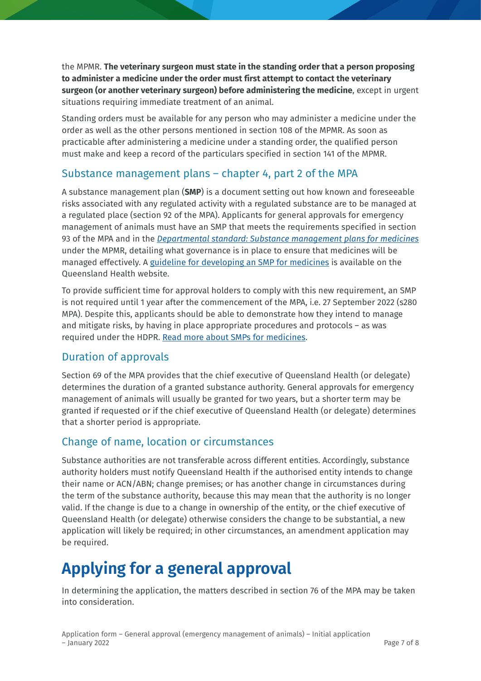the MPMR. **The veterinary surgeon must state in the standing order that a person proposing to administer a medicine under the order must first attempt to contact the veterinary surgeon (or another veterinary surgeon) before administering the medicine**, except in urgent situations requiring immediate treatment of an animal.

Standing orders must be available for any person who may administer a medicine under the order as well as the other persons mentioned in section 108 of the MPMR. As soon as practicable after administering a medicine under a standing order, the qualified person must make and keep a record of the particulars specified in section 141 of the MPMR.

## Substance management plans – chapter 4, part 2 of the MPA

A substance management plan (**SMP**) is a document setting out how known and foreseeable risks associated with any regulated activity with a regulated substance are to be managed at a regulated place (section 92 of the MPA). Applicants for general approvals for emergency management of animals must have an SMP that meets the requirements specified in section 93 of the MPA and in the *[Departmental standard: Substance management plans for medicines](https://www.health.qld.gov.au/__data/assets/pdf_file/0023/1108940/ds-substance-management-plans-medicines.pdf)* under the MPMR, detailing what governance is in place to ensure that medicines will be managed effectively. A [guideline for developing an SMP for medicines](https://www.health.qld.gov.au/__data/assets/pdf_file/0026/1110788/guide-smp-medicines.pdf) is available on the Queensland Health website.

To provide sufficient time for approval holders to comply with this new requirement, an SMP is not required until 1 year after the commencement of the MPA, i.e. 27 September 2022 (s280 MPA). Despite this, applicants should be able to demonstrate how they intend to manage and mitigate risks, by having in place appropriate procedures and protocols – as was required under the HDPR. [Read more about SMPs for medicines.](https://www.health.qld.gov.au/system-governance/licences/medicines-poisons/medicines/substance-management-plans)

## Duration of approvals

Section 69 of the MPA provides that the chief executive of Queensland Health (or delegate) determines the duration of a granted substance authority. General approvals for emergency management of animals will usually be granted for two years, but a shorter term may be granted if requested or if the chief executive of Queensland Health (or delegate) determines that a shorter period is appropriate.

## Change of name, location or circumstances

Substance authorities are not transferable across different entities. Accordingly, substance authority holders must notify Queensland Health if the authorised entity intends to change their name or ACN/ABN; change premises; or has another change in circumstances during the term of the substance authority, because this may mean that the authority is no longer valid. If the change is due to a change in ownership of the entity, or the chief executive of Queensland Health (or delegate) otherwise considers the change to be substantial, a new application will likely be required; in other circumstances, an amendment application may be required.

# **Applying for a general approval**

In determining the application, the matters described in section 76 of the MPA may be taken into consideration.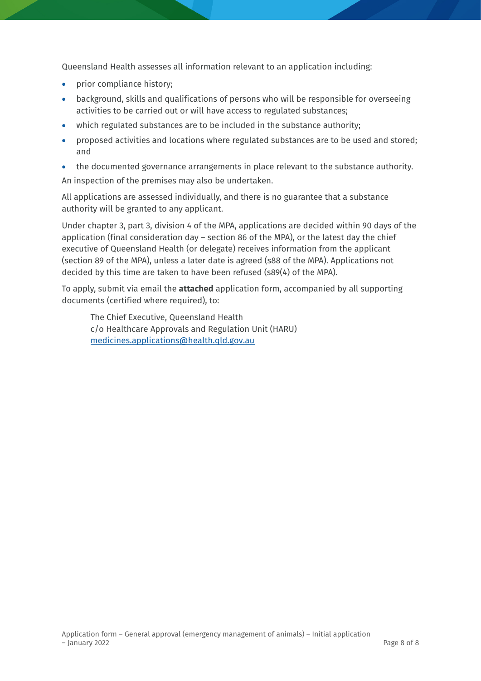Queensland Health assesses all information relevant to an application including:

- prior compliance history;
- background, skills and qualifications of persons who will be responsible for overseeing activities to be carried out or will have access to regulated substances;
- which regulated substances are to be included in the substance authority;
- proposed activities and locations where regulated substances are to be used and stored; and
- the documented governance arrangements in place relevant to the substance authority.

An inspection of the premises may also be undertaken.

All applications are assessed individually, and there is no guarantee that a substance authority will be granted to any applicant.

Under chapter 3, part 3, division 4 of the MPA, applications are decided within 90 days of the application (final consideration day – section 86 of the MPA), or the latest day the chief executive of Queensland Health (or delegate) receives information from the applicant (section 89 of the MPA), unless a later date is agreed (s88 of the MPA). Applications not decided by this time are taken to have been refused (s89(4) of the MPA).

To apply, submit via email the **attached** application form, accompanied by all supporting documents (certified where required), to:

The Chief Executive, Queensland Health c/o Healthcare Approvals and Regulation Unit (HARU) [medicines.applications@health.qld.gov.au](mailto:medicines.applications@health.qld.gov.au)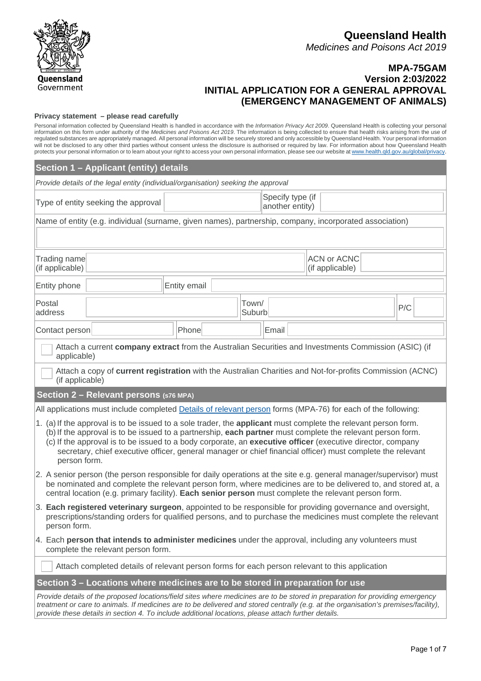

#### **MPA-75GAM Version 2:03/2022 INITIAL APPLICATION FOR A GENERAL APPROVAL (EMERGENCY MANAGEMENT OF ANIMALS)**

#### **Privacy statement – please read carefully**

Personal information collected by Queensland Health is handled in accordance with the *Information Privacy Act 2009*. Queensland Health is collecting your personal information on this form under authority of the *Medicines and Poisons Act 2019*. The information is being collected to ensure that health risks arising from the use of regulated substances are appropriately managed. All personal information will be securely stored and only accessible by Queensland Health. Your personal information will not be disclosed to any other third parties without consent unless the disclosure is authorised or required by law. For information about how Queensland Health protects your personal information or to learn about your right to access your own personal information, please see our website at [www.health.qld.gov.au/global/privacy.](http://www.health.qld.gov.au/global/privacy)

| Provide details of the legal entity (individual/organisation) seeking the approval<br>Specify type (if<br>Type of entity seeking the approval<br>another entity)<br>Name of entity (e.g. individual (surname, given names), partnership, company, incorporated association)<br><b>ACN or ACNC</b><br>Trading name<br>(if applicable)<br>(if applicable)<br>Entity phone<br>Entity email<br>Postal<br>Town/<br>P/C<br>address<br>Suburb<br>Email<br>Phone<br>Contact person<br>Attach a current company extract from the Australian Securities and Investments Commission (ASIC) (if<br>applicable)<br>Attach a copy of current registration with the Australian Charities and Not-for-profits Commission (ACNC)<br>(if applicable)<br>Section 2 - Relevant persons (S76 MPA)<br>All applications must include completed Details of relevant person forms (MPA-76) for each of the following:<br>1. (a) If the approval is to be issued to a sole trader, the applicant must complete the relevant person form.<br>(b) If the approval is to be issued to a partnership, each partner must complete the relevant person form.<br>(c) If the approval is to be issued to a body corporate, an executive officer (executive director, company<br>secretary, chief executive officer, general manager or chief financial officer) must complete the relevant<br>person form.<br>2. A senior person (the person responsible for daily operations at the site e.g. general manager/supervisor) must<br>be nominated and complete the relevant person form, where medicines are to be delivered to, and stored at, a<br>central location (e.g. primary facility). Each senior person must complete the relevant person form.<br>3. Each registered veterinary surgeon, appointed to be responsible for providing governance and oversight,<br>prescriptions/standing orders for qualified persons, and to purchase the medicines must complete the relevant<br>person form.<br>4. Each person that intends to administer medicines under the approval, including any volunteers must<br>complete the relevant person form. | Section 1 - Applicant (entity) details |  |  |  |  |  |  |  |  |
|---------------------------------------------------------------------------------------------------------------------------------------------------------------------------------------------------------------------------------------------------------------------------------------------------------------------------------------------------------------------------------------------------------------------------------------------------------------------------------------------------------------------------------------------------------------------------------------------------------------------------------------------------------------------------------------------------------------------------------------------------------------------------------------------------------------------------------------------------------------------------------------------------------------------------------------------------------------------------------------------------------------------------------------------------------------------------------------------------------------------------------------------------------------------------------------------------------------------------------------------------------------------------------------------------------------------------------------------------------------------------------------------------------------------------------------------------------------------------------------------------------------------------------------------------------------------------------------------------------------------------------------------------------------------------------------------------------------------------------------------------------------------------------------------------------------------------------------------------------------------------------------------------------------------------------------------------------------------------------------------------------------------------------------------------------------------------------------------------------------------|----------------------------------------|--|--|--|--|--|--|--|--|
|                                                                                                                                                                                                                                                                                                                                                                                                                                                                                                                                                                                                                                                                                                                                                                                                                                                                                                                                                                                                                                                                                                                                                                                                                                                                                                                                                                                                                                                                                                                                                                                                                                                                                                                                                                                                                                                                                                                                                                                                                                                                                                                     |                                        |  |  |  |  |  |  |  |  |
|                                                                                                                                                                                                                                                                                                                                                                                                                                                                                                                                                                                                                                                                                                                                                                                                                                                                                                                                                                                                                                                                                                                                                                                                                                                                                                                                                                                                                                                                                                                                                                                                                                                                                                                                                                                                                                                                                                                                                                                                                                                                                                                     |                                        |  |  |  |  |  |  |  |  |
|                                                                                                                                                                                                                                                                                                                                                                                                                                                                                                                                                                                                                                                                                                                                                                                                                                                                                                                                                                                                                                                                                                                                                                                                                                                                                                                                                                                                                                                                                                                                                                                                                                                                                                                                                                                                                                                                                                                                                                                                                                                                                                                     |                                        |  |  |  |  |  |  |  |  |
|                                                                                                                                                                                                                                                                                                                                                                                                                                                                                                                                                                                                                                                                                                                                                                                                                                                                                                                                                                                                                                                                                                                                                                                                                                                                                                                                                                                                                                                                                                                                                                                                                                                                                                                                                                                                                                                                                                                                                                                                                                                                                                                     |                                        |  |  |  |  |  |  |  |  |
|                                                                                                                                                                                                                                                                                                                                                                                                                                                                                                                                                                                                                                                                                                                                                                                                                                                                                                                                                                                                                                                                                                                                                                                                                                                                                                                                                                                                                                                                                                                                                                                                                                                                                                                                                                                                                                                                                                                                                                                                                                                                                                                     |                                        |  |  |  |  |  |  |  |  |
|                                                                                                                                                                                                                                                                                                                                                                                                                                                                                                                                                                                                                                                                                                                                                                                                                                                                                                                                                                                                                                                                                                                                                                                                                                                                                                                                                                                                                                                                                                                                                                                                                                                                                                                                                                                                                                                                                                                                                                                                                                                                                                                     |                                        |  |  |  |  |  |  |  |  |
|                                                                                                                                                                                                                                                                                                                                                                                                                                                                                                                                                                                                                                                                                                                                                                                                                                                                                                                                                                                                                                                                                                                                                                                                                                                                                                                                                                                                                                                                                                                                                                                                                                                                                                                                                                                                                                                                                                                                                                                                                                                                                                                     |                                        |  |  |  |  |  |  |  |  |
|                                                                                                                                                                                                                                                                                                                                                                                                                                                                                                                                                                                                                                                                                                                                                                                                                                                                                                                                                                                                                                                                                                                                                                                                                                                                                                                                                                                                                                                                                                                                                                                                                                                                                                                                                                                                                                                                                                                                                                                                                                                                                                                     |                                        |  |  |  |  |  |  |  |  |
|                                                                                                                                                                                                                                                                                                                                                                                                                                                                                                                                                                                                                                                                                                                                                                                                                                                                                                                                                                                                                                                                                                                                                                                                                                                                                                                                                                                                                                                                                                                                                                                                                                                                                                                                                                                                                                                                                                                                                                                                                                                                                                                     |                                        |  |  |  |  |  |  |  |  |
|                                                                                                                                                                                                                                                                                                                                                                                                                                                                                                                                                                                                                                                                                                                                                                                                                                                                                                                                                                                                                                                                                                                                                                                                                                                                                                                                                                                                                                                                                                                                                                                                                                                                                                                                                                                                                                                                                                                                                                                                                                                                                                                     |                                        |  |  |  |  |  |  |  |  |
|                                                                                                                                                                                                                                                                                                                                                                                                                                                                                                                                                                                                                                                                                                                                                                                                                                                                                                                                                                                                                                                                                                                                                                                                                                                                                                                                                                                                                                                                                                                                                                                                                                                                                                                                                                                                                                                                                                                                                                                                                                                                                                                     |                                        |  |  |  |  |  |  |  |  |
|                                                                                                                                                                                                                                                                                                                                                                                                                                                                                                                                                                                                                                                                                                                                                                                                                                                                                                                                                                                                                                                                                                                                                                                                                                                                                                                                                                                                                                                                                                                                                                                                                                                                                                                                                                                                                                                                                                                                                                                                                                                                                                                     |                                        |  |  |  |  |  |  |  |  |
|                                                                                                                                                                                                                                                                                                                                                                                                                                                                                                                                                                                                                                                                                                                                                                                                                                                                                                                                                                                                                                                                                                                                                                                                                                                                                                                                                                                                                                                                                                                                                                                                                                                                                                                                                                                                                                                                                                                                                                                                                                                                                                                     |                                        |  |  |  |  |  |  |  |  |
|                                                                                                                                                                                                                                                                                                                                                                                                                                                                                                                                                                                                                                                                                                                                                                                                                                                                                                                                                                                                                                                                                                                                                                                                                                                                                                                                                                                                                                                                                                                                                                                                                                                                                                                                                                                                                                                                                                                                                                                                                                                                                                                     |                                        |  |  |  |  |  |  |  |  |
|                                                                                                                                                                                                                                                                                                                                                                                                                                                                                                                                                                                                                                                                                                                                                                                                                                                                                                                                                                                                                                                                                                                                                                                                                                                                                                                                                                                                                                                                                                                                                                                                                                                                                                                                                                                                                                                                                                                                                                                                                                                                                                                     |                                        |  |  |  |  |  |  |  |  |
|                                                                                                                                                                                                                                                                                                                                                                                                                                                                                                                                                                                                                                                                                                                                                                                                                                                                                                                                                                                                                                                                                                                                                                                                                                                                                                                                                                                                                                                                                                                                                                                                                                                                                                                                                                                                                                                                                                                                                                                                                                                                                                                     |                                        |  |  |  |  |  |  |  |  |
| Attach completed details of relevant person forms for each person relevant to this application                                                                                                                                                                                                                                                                                                                                                                                                                                                                                                                                                                                                                                                                                                                                                                                                                                                                                                                                                                                                                                                                                                                                                                                                                                                                                                                                                                                                                                                                                                                                                                                                                                                                                                                                                                                                                                                                                                                                                                                                                      |                                        |  |  |  |  |  |  |  |  |
| Section 3 – Locations where medicines are to be stored in preparation for use                                                                                                                                                                                                                                                                                                                                                                                                                                                                                                                                                                                                                                                                                                                                                                                                                                                                                                                                                                                                                                                                                                                                                                                                                                                                                                                                                                                                                                                                                                                                                                                                                                                                                                                                                                                                                                                                                                                                                                                                                                       |                                        |  |  |  |  |  |  |  |  |
| Provide details of the proposed locations/field sites where medicines are to be stored in preparation for providing emergency<br>treatment or care to animals. If medicines are to be delivered and stored centrally (e.g. at the organisation's premises/facility),<br>provide these details in section 4. To include additional locations, please attach further details.                                                                                                                                                                                                                                                                                                                                                                                                                                                                                                                                                                                                                                                                                                                                                                                                                                                                                                                                                                                                                                                                                                                                                                                                                                                                                                                                                                                                                                                                                                                                                                                                                                                                                                                                         |                                        |  |  |  |  |  |  |  |  |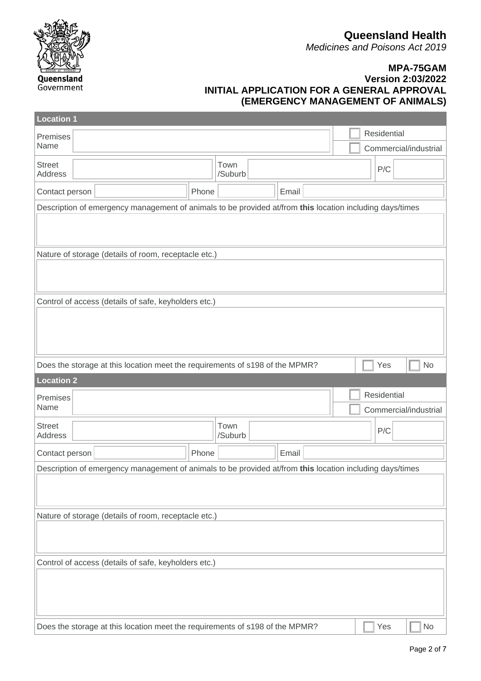**Queensland Health**

*Medicines and Poisons Act 2019*



| <b>Location 1</b>                                                                                        |                 |       |  |             |                       |  |  |
|----------------------------------------------------------------------------------------------------------|-----------------|-------|--|-------------|-----------------------|--|--|
| Premises                                                                                                 |                 |       |  | Residential |                       |  |  |
| Name                                                                                                     |                 |       |  |             | Commercial/industrial |  |  |
| <b>Street</b><br>Address                                                                                 | Town<br>/Suburb |       |  | P/C         |                       |  |  |
| Phone<br>Contact person                                                                                  |                 | Email |  |             |                       |  |  |
| Description of emergency management of animals to be provided at/from this location including days/times |                 |       |  |             |                       |  |  |
|                                                                                                          |                 |       |  |             |                       |  |  |
| Nature of storage (details of room, receptacle etc.)                                                     |                 |       |  |             |                       |  |  |
|                                                                                                          |                 |       |  |             |                       |  |  |
| Control of access (details of safe, keyholders etc.)                                                     |                 |       |  |             |                       |  |  |
|                                                                                                          |                 |       |  |             |                       |  |  |
|                                                                                                          |                 |       |  |             |                       |  |  |
|                                                                                                          |                 |       |  |             |                       |  |  |
| Does the storage at this location meet the requirements of s198 of the MPMR?                             |                 |       |  | Yes         | <b>No</b>             |  |  |
| <b>Location 2</b>                                                                                        |                 |       |  |             |                       |  |  |
| Premises                                                                                                 |                 |       |  | Residential |                       |  |  |
| Name                                                                                                     |                 |       |  |             | Commercial/industrial |  |  |
| <b>Street</b><br>Address                                                                                 | Town<br>/Suburb |       |  | P/C         |                       |  |  |
| Phone<br>Contact person                                                                                  |                 | Email |  |             |                       |  |  |
| Description of emergency management of animals to be provided at/from this location including days/times |                 |       |  |             |                       |  |  |
|                                                                                                          |                 |       |  |             |                       |  |  |
|                                                                                                          |                 |       |  |             |                       |  |  |
| Nature of storage (details of room, receptacle etc.)                                                     |                 |       |  |             |                       |  |  |
|                                                                                                          |                 |       |  |             |                       |  |  |
| Control of access (details of safe, keyholders etc.)                                                     |                 |       |  |             |                       |  |  |
|                                                                                                          |                 |       |  |             |                       |  |  |
|                                                                                                          |                 |       |  |             |                       |  |  |
|                                                                                                          |                 |       |  |             |                       |  |  |
| Does the storage at this location meet the requirements of s198 of the MPMR?                             |                 |       |  | Yes         | No                    |  |  |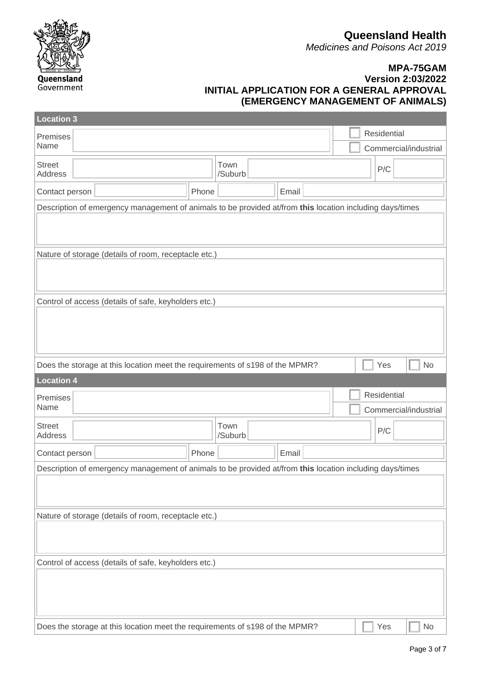**Queensland Health**

*Medicines and Poisons Act 2019*



| <b>Location 3</b>                                                                                        |       |                 |       |  |                       |           |  |
|----------------------------------------------------------------------------------------------------------|-------|-----------------|-------|--|-----------------------|-----------|--|
| Premises                                                                                                 |       |                 |       |  | Residential           |           |  |
| Name                                                                                                     |       |                 |       |  | Commercial/industrial |           |  |
| <b>Street</b><br><b>Address</b>                                                                          |       | Town<br>/Suburb |       |  | P/C                   |           |  |
| Contact person                                                                                           | Phone |                 | Email |  |                       |           |  |
| Description of emergency management of animals to be provided at/from this location including days/times |       |                 |       |  |                       |           |  |
|                                                                                                          |       |                 |       |  |                       |           |  |
| Nature of storage (details of room, receptacle etc.)                                                     |       |                 |       |  |                       |           |  |
|                                                                                                          |       |                 |       |  |                       |           |  |
| Control of access (details of safe, keyholders etc.)                                                     |       |                 |       |  |                       |           |  |
|                                                                                                          |       |                 |       |  |                       |           |  |
|                                                                                                          |       |                 |       |  |                       |           |  |
|                                                                                                          |       |                 |       |  |                       |           |  |
| Does the storage at this location meet the requirements of s198 of the MPMR?                             |       |                 |       |  | Yes                   | <b>No</b> |  |
| <b>Location 4</b>                                                                                        |       |                 |       |  |                       |           |  |
| Premises                                                                                                 |       |                 |       |  | Residential           |           |  |
| Name                                                                                                     |       |                 |       |  | Commercial/industrial |           |  |
| <b>Street</b>                                                                                            |       | Town<br>/Suburb |       |  | P/C                   |           |  |
| Address                                                                                                  |       |                 |       |  |                       |           |  |
| Contact person                                                                                           | Phone |                 | Email |  |                       |           |  |
| Description of emergency management of animals to be provided at/from this location including days/times |       |                 |       |  |                       |           |  |
|                                                                                                          |       |                 |       |  |                       |           |  |
| Nature of storage (details of room, receptacle etc.)                                                     |       |                 |       |  |                       |           |  |
|                                                                                                          |       |                 |       |  |                       |           |  |
|                                                                                                          |       |                 |       |  |                       |           |  |
| Control of access (details of safe, keyholders etc.)                                                     |       |                 |       |  |                       |           |  |
|                                                                                                          |       |                 |       |  |                       |           |  |
|                                                                                                          |       |                 |       |  |                       |           |  |
|                                                                                                          |       |                 |       |  |                       |           |  |
| Does the storage at this location meet the requirements of s198 of the MPMR?                             |       |                 |       |  | Yes                   | <b>No</b> |  |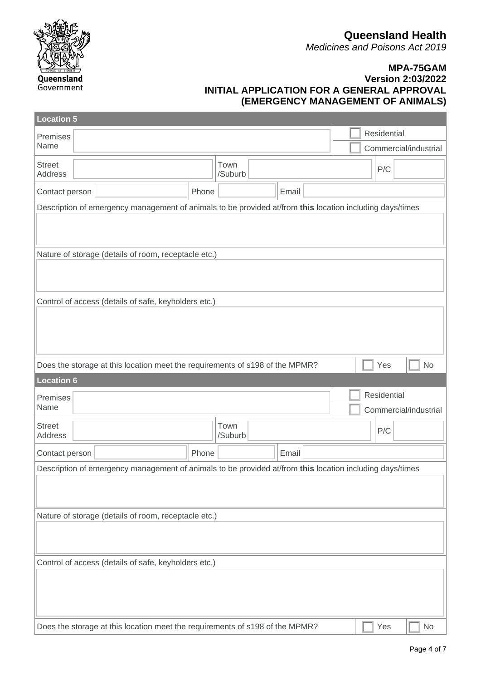**Queensland Health**

*Medicines and Poisons Act 2019*



| <b>Location 5</b>                                    |                                                                                                          |       |                 |  |       |  |  |                       |           |
|------------------------------------------------------|----------------------------------------------------------------------------------------------------------|-------|-----------------|--|-------|--|--|-----------------------|-----------|
| Premises                                             |                                                                                                          |       |                 |  |       |  |  | Residential           |           |
| Name                                                 |                                                                                                          |       |                 |  |       |  |  | Commercial/industrial |           |
| <b>Street</b><br><b>Address</b>                      |                                                                                                          |       | Town<br>/Suburb |  |       |  |  | P/C                   |           |
| Contact person                                       |                                                                                                          | Phone |                 |  | Email |  |  |                       |           |
|                                                      | Description of emergency management of animals to be provided at/from this location including days/times |       |                 |  |       |  |  |                       |           |
|                                                      |                                                                                                          |       |                 |  |       |  |  |                       |           |
|                                                      | Nature of storage (details of room, receptacle etc.)                                                     |       |                 |  |       |  |  |                       |           |
|                                                      |                                                                                                          |       |                 |  |       |  |  |                       |           |
|                                                      | Control of access (details of safe, keyholders etc.)                                                     |       |                 |  |       |  |  |                       |           |
|                                                      |                                                                                                          |       |                 |  |       |  |  |                       |           |
|                                                      |                                                                                                          |       |                 |  |       |  |  |                       |           |
|                                                      |                                                                                                          |       |                 |  |       |  |  |                       |           |
|                                                      | Does the storage at this location meet the requirements of s198 of the MPMR?                             |       |                 |  |       |  |  | Yes                   | <b>No</b> |
| <b>Location 6</b>                                    |                                                                                                          |       |                 |  |       |  |  |                       |           |
| Premises                                             |                                                                                                          |       |                 |  |       |  |  | Residential           |           |
| Name                                                 |                                                                                                          |       |                 |  |       |  |  | Commercial/industrial |           |
| <b>Street</b><br><b>Address</b>                      |                                                                                                          |       | Town<br>/Suburb |  |       |  |  | P/C                   |           |
| Contact person                                       |                                                                                                          | Phone |                 |  | Email |  |  |                       |           |
|                                                      | Description of emergency management of animals to be provided at/from this location including days/times |       |                 |  |       |  |  |                       |           |
|                                                      |                                                                                                          |       |                 |  |       |  |  |                       |           |
|                                                      |                                                                                                          |       |                 |  |       |  |  |                       |           |
| Nature of storage (details of room, receptacle etc.) |                                                                                                          |       |                 |  |       |  |  |                       |           |
|                                                      |                                                                                                          |       |                 |  |       |  |  |                       |           |
|                                                      |                                                                                                          |       |                 |  |       |  |  |                       |           |
| Control of access (details of safe, keyholders etc.) |                                                                                                          |       |                 |  |       |  |  |                       |           |
|                                                      |                                                                                                          |       |                 |  |       |  |  |                       |           |
|                                                      |                                                                                                          |       |                 |  |       |  |  |                       |           |
|                                                      |                                                                                                          |       |                 |  |       |  |  |                       |           |
|                                                      | Does the storage at this location meet the requirements of s198 of the MPMR?                             |       |                 |  |       |  |  | Yes                   | <b>No</b> |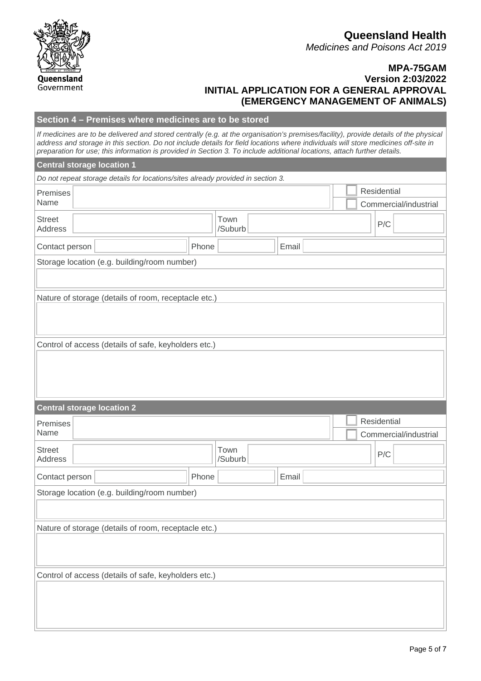| <b>Queensland Health</b>              |  |
|---------------------------------------|--|
| <b>Medicines and Poisons Act 2019</b> |  |

|                                                                                                                                                                                                                                                                                                                                                                                                         |       | Section 4 - Premises where medicines are to be stored |       |  |                       |  |  |
|---------------------------------------------------------------------------------------------------------------------------------------------------------------------------------------------------------------------------------------------------------------------------------------------------------------------------------------------------------------------------------------------------------|-------|-------------------------------------------------------|-------|--|-----------------------|--|--|
| If medicines are to be delivered and stored centrally (e.g. at the organisation's premises/facility), provide details of the physical<br>address and storage in this section. Do not include details for field locations where individuals will store medicines off-site in<br>preparation for use; this information is provided in Section 3. To include additional locations, attach further details. |       |                                                       |       |  |                       |  |  |
| <b>Central storage location 1</b>                                                                                                                                                                                                                                                                                                                                                                       |       |                                                       |       |  |                       |  |  |
| Do not repeat storage details for locations/sites already provided in section 3.                                                                                                                                                                                                                                                                                                                        |       |                                                       |       |  |                       |  |  |
| Premises<br>Name                                                                                                                                                                                                                                                                                                                                                                                        |       |                                                       |       |  | Residential           |  |  |
|                                                                                                                                                                                                                                                                                                                                                                                                         |       |                                                       |       |  | Commercial/industrial |  |  |
| <b>Street</b><br><b>Address</b>                                                                                                                                                                                                                                                                                                                                                                         |       | Town<br>/Suburb                                       |       |  | P/C                   |  |  |
| Contact person                                                                                                                                                                                                                                                                                                                                                                                          | Phone |                                                       | Email |  |                       |  |  |
| Storage location (e.g. building/room number)                                                                                                                                                                                                                                                                                                                                                            |       |                                                       |       |  |                       |  |  |
|                                                                                                                                                                                                                                                                                                                                                                                                         |       |                                                       |       |  |                       |  |  |
| Nature of storage (details of room, receptacle etc.)                                                                                                                                                                                                                                                                                                                                                    |       |                                                       |       |  |                       |  |  |
|                                                                                                                                                                                                                                                                                                                                                                                                         |       |                                                       |       |  |                       |  |  |
|                                                                                                                                                                                                                                                                                                                                                                                                         |       |                                                       |       |  |                       |  |  |
| Control of access (details of safe, keyholders etc.)                                                                                                                                                                                                                                                                                                                                                    |       |                                                       |       |  |                       |  |  |
|                                                                                                                                                                                                                                                                                                                                                                                                         |       |                                                       |       |  |                       |  |  |
|                                                                                                                                                                                                                                                                                                                                                                                                         |       |                                                       |       |  |                       |  |  |
|                                                                                                                                                                                                                                                                                                                                                                                                         |       |                                                       |       |  |                       |  |  |
| <b>Central storage location 2</b>                                                                                                                                                                                                                                                                                                                                                                       |       |                                                       |       |  |                       |  |  |
| Premises                                                                                                                                                                                                                                                                                                                                                                                                |       |                                                       |       |  | Residential           |  |  |
| Name                                                                                                                                                                                                                                                                                                                                                                                                    |       |                                                       |       |  |                       |  |  |
|                                                                                                                                                                                                                                                                                                                                                                                                         |       |                                                       |       |  | Commercial/industrial |  |  |
| <b>Street</b><br><b>Address</b>                                                                                                                                                                                                                                                                                                                                                                         |       | Town<br>/Suburb                                       |       |  | P/C                   |  |  |
| Contact person                                                                                                                                                                                                                                                                                                                                                                                          | Phone |                                                       | Email |  |                       |  |  |
| Storage location (e.g. building/room number)                                                                                                                                                                                                                                                                                                                                                            |       |                                                       |       |  |                       |  |  |
|                                                                                                                                                                                                                                                                                                                                                                                                         |       |                                                       |       |  |                       |  |  |
|                                                                                                                                                                                                                                                                                                                                                                                                         |       |                                                       |       |  |                       |  |  |
| Nature of storage (details of room, receptacle etc.)                                                                                                                                                                                                                                                                                                                                                    |       |                                                       |       |  |                       |  |  |
|                                                                                                                                                                                                                                                                                                                                                                                                         |       |                                                       |       |  |                       |  |  |
|                                                                                                                                                                                                                                                                                                                                                                                                         |       |                                                       |       |  |                       |  |  |
| Control of access (details of safe, keyholders etc.)                                                                                                                                                                                                                                                                                                                                                    |       |                                                       |       |  |                       |  |  |
|                                                                                                                                                                                                                                                                                                                                                                                                         |       |                                                       |       |  |                       |  |  |
|                                                                                                                                                                                                                                                                                                                                                                                                         |       |                                                       |       |  |                       |  |  |

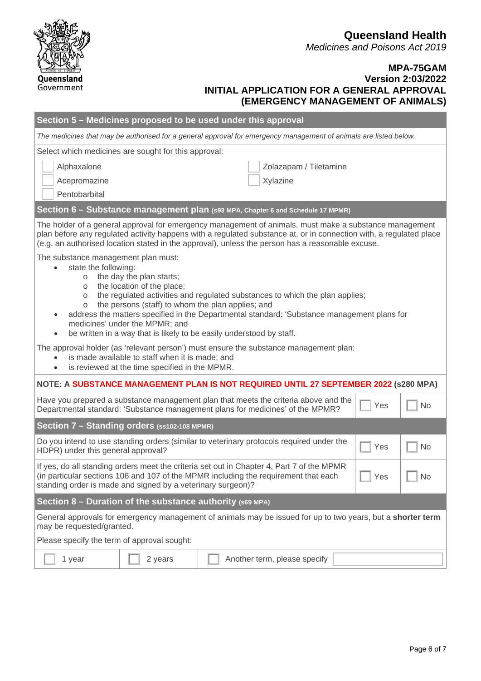**Queensland Health** *Medicines and Poisons Act 2019*

### **MPA-75GAM Version 2:03/2022 INITIAL APPLICATION FOR A GENERAL APPROVAL (EMERGENCY MANAGEMENT OF ANIMALS)**

| Section 5 – Medicines proposed to be used under this approval                                                                                                                                                                                                                                                                                                                                                                                                                                                                |                                                                                                   |  |                        |  |     |    |  |  |  |
|------------------------------------------------------------------------------------------------------------------------------------------------------------------------------------------------------------------------------------------------------------------------------------------------------------------------------------------------------------------------------------------------------------------------------------------------------------------------------------------------------------------------------|---------------------------------------------------------------------------------------------------|--|------------------------|--|-----|----|--|--|--|
| The medicines that may be authorised for a general approval for emergency management of animals are listed below.                                                                                                                                                                                                                                                                                                                                                                                                            |                                                                                                   |  |                        |  |     |    |  |  |  |
| Select which medicines are sought for this approval:                                                                                                                                                                                                                                                                                                                                                                                                                                                                         |                                                                                                   |  |                        |  |     |    |  |  |  |
| Alphaxalone                                                                                                                                                                                                                                                                                                                                                                                                                                                                                                                  |                                                                                                   |  | Zolazapam / Tiletamine |  |     |    |  |  |  |
| Acepromazine<br>Xylazine                                                                                                                                                                                                                                                                                                                                                                                                                                                                                                     |                                                                                                   |  |                        |  |     |    |  |  |  |
| Pentobarbital                                                                                                                                                                                                                                                                                                                                                                                                                                                                                                                |                                                                                                   |  |                        |  |     |    |  |  |  |
| Section 6 - Substance management plan (s93 MPA, Chapter 6 and Schedule 17 MPMR)                                                                                                                                                                                                                                                                                                                                                                                                                                              |                                                                                                   |  |                        |  |     |    |  |  |  |
| The holder of a general approval for emergency management of animals, must make a substance management<br>plan before any regulated activity happens with a regulated substance at, or in connection with, a regulated place<br>(e.g. an authorised location stated in the approval), unless the person has a reasonable excuse.                                                                                                                                                                                             |                                                                                                   |  |                        |  |     |    |  |  |  |
| The substance management plan must:<br>state the following:<br>the day the plan starts;<br>$\circ$<br>the location of the place;<br>$\circ$<br>the regulated activities and regulated substances to which the plan applies;<br>$\circ$<br>the persons (staff) to whom the plan applies; and<br>$\circ$<br>address the matters specified in the Departmental standard: 'Substance management plans for<br>medicines' under the MPMR; and<br>be written in a way that is likely to be easily understood by staff.<br>$\bullet$ |                                                                                                   |  |                        |  |     |    |  |  |  |
| The approval holder (as 'relevant person') must ensure the substance management plan:<br>$\bullet$                                                                                                                                                                                                                                                                                                                                                                                                                           | is made available to staff when it is made; and<br>is reviewed at the time specified in the MPMR. |  |                        |  |     |    |  |  |  |
| NOTE: A SUBSTANCE MANAGEMENT PLAN IS NOT REQUIRED UNTIL 27 SEPTEMBER 2022 (s280 MPA)                                                                                                                                                                                                                                                                                                                                                                                                                                         |                                                                                                   |  |                        |  |     |    |  |  |  |
| Have you prepared a substance management plan that meets the criteria above and the<br>Departmental standard: 'Substance management plans for medicines' of the MPMR?                                                                                                                                                                                                                                                                                                                                                        |                                                                                                   |  |                        |  | Yes | No |  |  |  |
| Section 7 - Standing orders (ss102-108 MPMR)                                                                                                                                                                                                                                                                                                                                                                                                                                                                                 |                                                                                                   |  |                        |  |     |    |  |  |  |
| Do you intend to use standing orders (similar to veterinary protocols required under the<br>No<br>Yes<br>HDPR) under this general approval?                                                                                                                                                                                                                                                                                                                                                                                  |                                                                                                   |  |                        |  |     |    |  |  |  |
| If yes, do all standing orders meet the criteria set out in Chapter 4, Part 7 of the MPMR<br>$\exists$ Yes<br>(in particular sections 106 and 107 of the MPMR including the requirement that each<br>  No<br>standing order is made and signed by a veterinary surgeon)?                                                                                                                                                                                                                                                     |                                                                                                   |  |                        |  |     |    |  |  |  |
| Section $8$ – Duration of the substance authority (s69 MPA)                                                                                                                                                                                                                                                                                                                                                                                                                                                                  |                                                                                                   |  |                        |  |     |    |  |  |  |
| General approvals for emergency management of animals may be issued for up to two years, but a shorter term<br>may be requested/granted.                                                                                                                                                                                                                                                                                                                                                                                     |                                                                                                   |  |                        |  |     |    |  |  |  |
| Please specify the term of approval sought:                                                                                                                                                                                                                                                                                                                                                                                                                                                                                  |                                                                                                   |  |                        |  |     |    |  |  |  |
| Another term, please specify<br>1 year<br>2 years                                                                                                                                                                                                                                                                                                                                                                                                                                                                            |                                                                                                   |  |                        |  |     |    |  |  |  |

Queensland Government